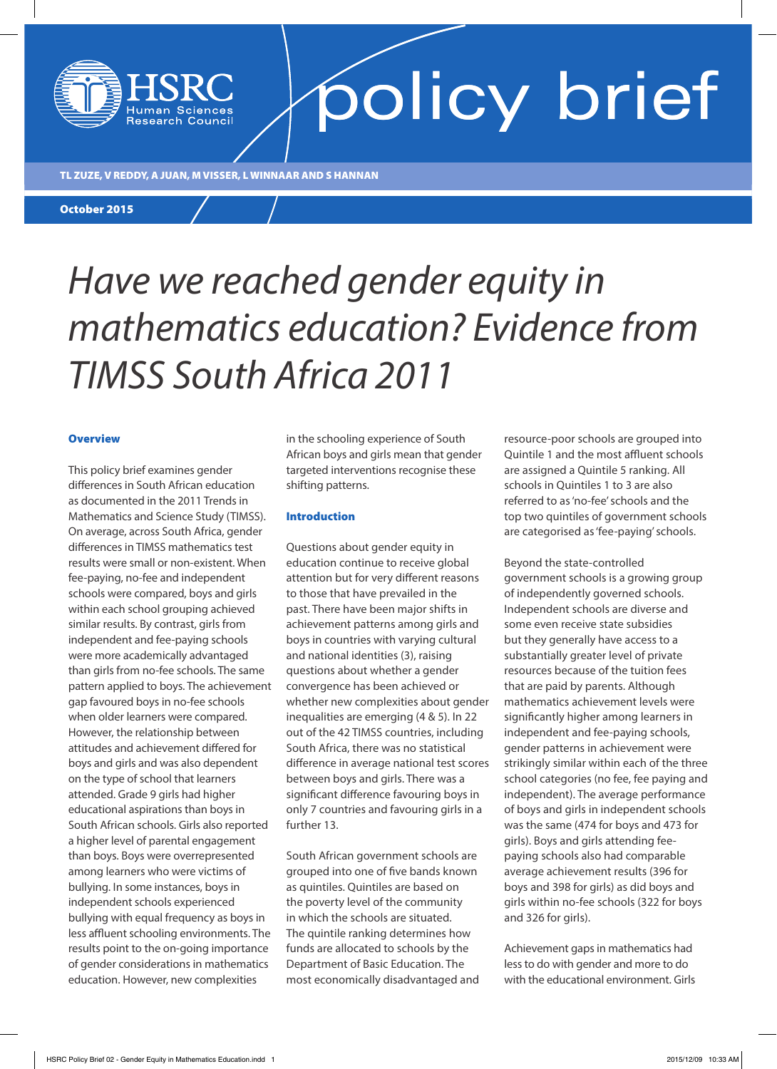TL ZUZE, V REDDY, A JUAN, M VISSER, L WINNAAR AND S HANNAN

**Research Council** 

October 2015

### *Have we reached gender equity in mathematics education? Evidence from TIMSS South Africa 2011*

#### **Overview**

This policy brief examines gender differences in South African education as documented in the 2011 Trends in Mathematics and Science Study (TIMSS). On average, across South Africa, gender differences in TIMSS mathematics test results were small or non-existent. When fee-paying, no-fee and independent schools were compared, boys and girls within each school grouping achieved similar results. By contrast, girls from independent and fee-paying schools were more academically advantaged than girls from no-fee schools. The same pattern applied to boys. The achievement gap favoured boys in no-fee schools when older learners were compared. However, the relationship between attitudes and achievement differed for boys and girls and was also dependent on the type of school that learners attended. Grade 9 girls had higher educational aspirations than boys in South African schools. Girls also reported a higher level of parental engagement than boys. Boys were overrepresented among learners who were victims of bullying. In some instances, boys in independent schools experienced bullying with equal frequency as boys in less affluent schooling environments. The results point to the on-going importance of gender considerations in mathematics education. However, new complexities

in the schooling experience of South African boys and girls mean that gender targeted interventions recognise these shifting patterns.

#### Introduction

Questions about gender equity in education continue to receive global attention but for very different reasons to those that have prevailed in the past. There have been major shifts in achievement patterns among girls and boys in countries with varying cultural and national identities (3), raising questions about whether a gender convergence has been achieved or whether new complexities about gender inequalities are emerging (4 & 5). In 22 out of the 42 TIMSS countries, including South Africa, there was no statistical difference in average national test scores between boys and girls. There was a significant difference favouring boys in only 7 countries and favouring girls in a further 13.

South African government schools are grouped into one of five bands known as quintiles. Quintiles are based on the poverty level of the community in which the schools are situated. The quintile ranking determines how funds are allocated to schools by the Department of Basic Education. The most economically disadvantaged and resource-poor schools are grouped into Quintile 1 and the most affluent schools are assigned a Quintile 5 ranking. All schools in Quintiles 1 to 3 are also referred to as 'no-fee' schools and the top two quintiles of government schools are categorised as 'fee-paying' schools.

Beyond the state-controlled government schools is a growing group of independently governed schools. Independent schools are diverse and some even receive state subsidies but they generally have access to a substantially greater level of private resources because of the tuition fees that are paid by parents. Although mathematics achievement levels were significantly higher among learners in independent and fee-paying schools, gender patterns in achievement were strikingly similar within each of the three school categories (no fee, fee paying and independent). The average performance of boys and girls in independent schools was the same (474 for boys and 473 for girls). Boys and girls attending feepaying schools also had comparable average achievement results (396 for boys and 398 for girls) as did boys and girls within no-fee schools (322 for boys and 326 for girls).

Achievement gaps in mathematics had less to do with gender and more to do with the educational environment. Girls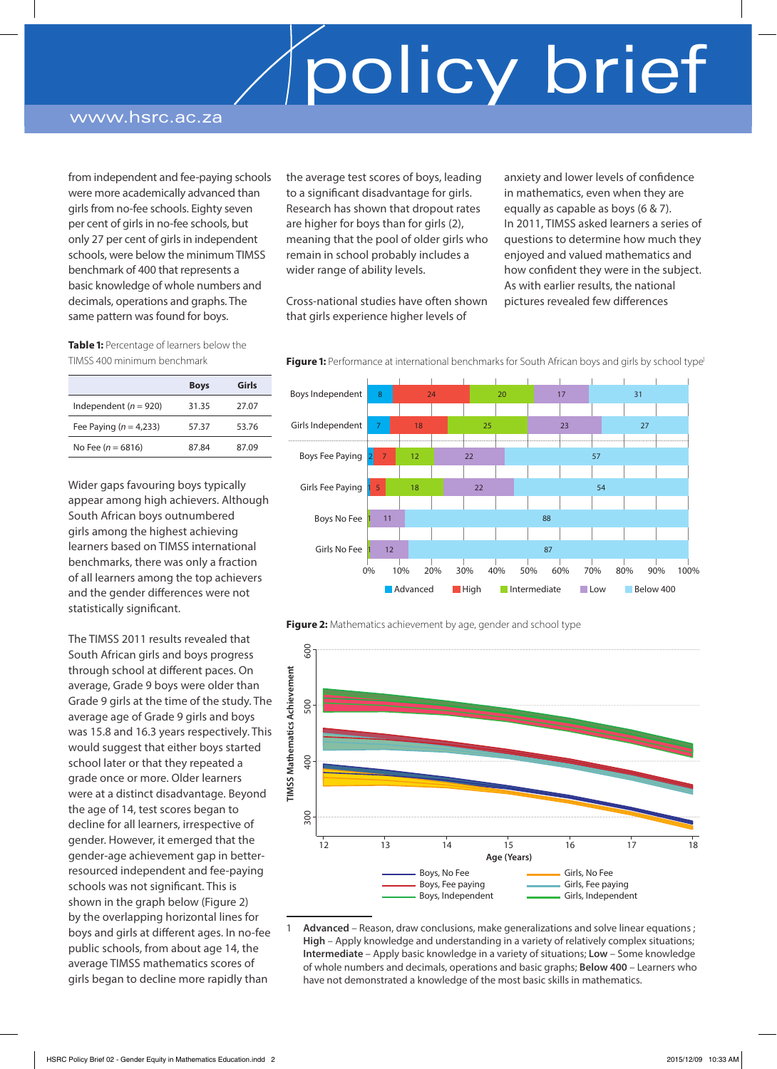### www.hsrc.ac.za

from independent and fee-paying schools were more academically advanced than girls from no-fee schools. Eighty seven per cent of girls in no-fee schools, but only 27 per cent of girls in independent schools, were below the minimum TIMSS benchmark of 400 that represents a basic knowledge of whole numbers and decimals, operations and graphs. The same pattern was found for boys.

the average test scores of boys, leading to a significant disadvantage for girls. Research has shown that dropout rates are higher for boys than for girls (2), meaning that the pool of older girls who remain in school probably includes a wider range of ability levels.

Cross-national studies have often shown that girls experience higher levels of

anxiety and lower levels of confidence in mathematics, even when they are equally as capable as boys (6 & 7). In 2011, TIMSS asked learners a series of questions to determine how much they enjoyed and valued mathematics and how confident they were in the subject. As with earlier results, the national pictures revealed few differences

**Table 1:** Percentage of learners below the TIMSS 400 minimum benchmark

|                            | <b>Boys</b> | Girls |
|----------------------------|-------------|-------|
| Independent ( $n = 920$ )  | 31.35       | 27.07 |
| Fee Paying ( $n = 4,233$ ) | 57.37       | 53.76 |
| No Fee ( $n = 6816$ )      | 87.84       | 87.09 |

Wider gaps favouring boys typically appear among high achievers. Although South African boys outnumbered girls among the highest achieving learners based on TIMSS international benchmarks, there was only a fraction of all learners among the top achievers and the gender differences were not statistically significant.

The TIMSS 2011 results revealed that South African girls and boys progress through school at different paces. On average, Grade 9 boys were older than Grade 9 girls at the time of the study. The average age of Grade 9 girls and boys was 15.8 and 16.3 years respectively. This would suggest that either boys started school later or that they repeated a grade once or more. Older learners were at a distinct disadvantage. Beyond the age of 14, test scores began to decline for all learners, irrespective of gender. However, it emerged that the gender-age achievement gap in betterresourced independent and fee-paying schools was not significant. This is shown in the graph below (Figure 2) by the overlapping horizontal lines for boys and girls at different ages. In no-fee public schools, from about age 14, the average TIMSS mathematics scores of girls began to decline more rapidly than

8 24 20 17 31 7 18 25 23 27 2 7 12 22 57 <mark>1 5</mark> 18 22 54 <mark>1</mark> 11 **88** 1 12 87 Boys Independent Girls Independent Boys Fee Paying Girls Fee Paying Boys No Fee Girls No Fee 0% 10% 20% 30% 40% 50% 60% 70% 80% 90% 100% **Advanced** High Intermediate Low Below 400

Figure 1: Performance at international benchmarks for South African boys and girls by school type<sup>1</sup>

**Figure 2:** Mathematics achievement by age, gender and school type



<sup>1</sup> **Advanced** – Reason, draw conclusions, make generalizations and solve linear equations ; **High** – Apply knowledge and understanding in a variety of relatively complex situations; **Intermediate** – Apply basic knowledge in a variety of situations; **Low** – Some knowledge of whole numbers and decimals, operations and basic graphs; **Below 400** – Learners who have not demonstrated a knowledge of the most basic skills in mathematics.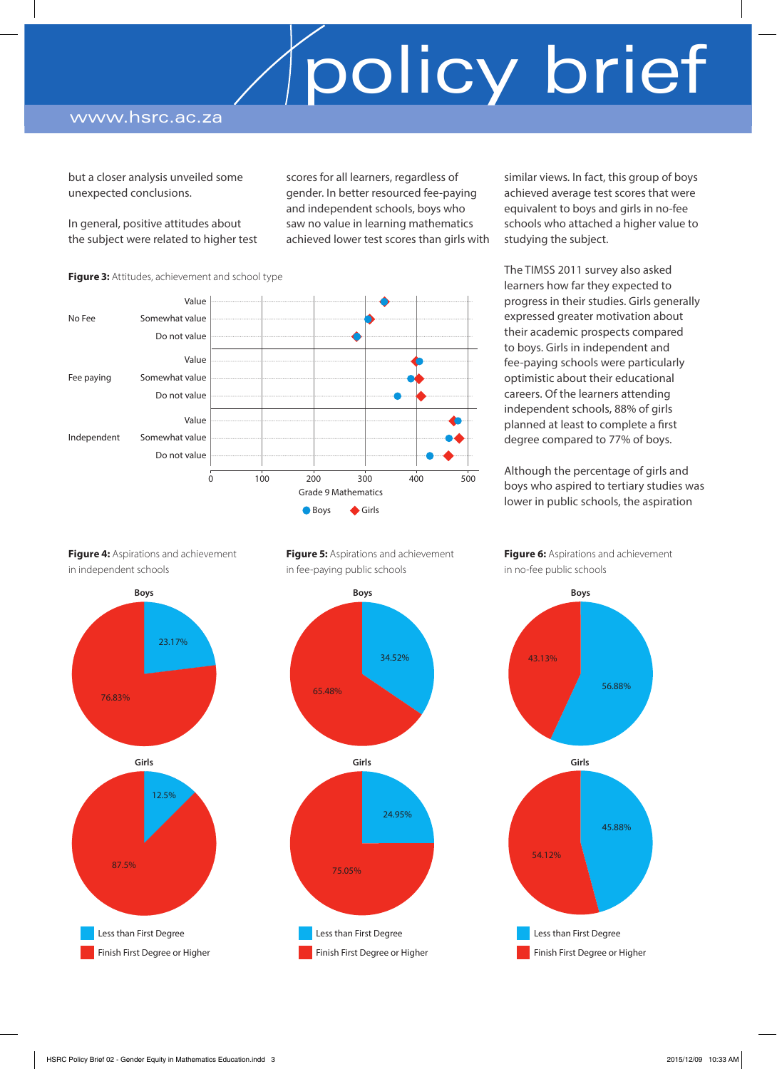### www.hsrc.ac.za

but a closer analysis unveiled some unexpected conclusions.

In general, positive attitudes about the subject were related to higher test

No Fee Somewhat value

Fee paying Somewhat value

Independent Somewhat value

**Figure 3:** Attitudes, achievement and school type

Do not value

Do not value

Do not value

Value

Value

Value

scores for all learners, regardless of gender. In better resourced fee-paying and independent schools, boys who saw no value in learning mathematics achieved lower test scores than girls with

similar views. In fact, this group of boys achieved average test scores that were equivalent to boys and girls in no-fee schools who attached a higher value to studying the subject.

The TIMSS 2011 survey also asked learners how far they expected to progress in their studies. Girls generally expressed greater motivation about their academic prospects compared to boys. Girls in independent and fee-paying schools were particularly optimistic about their educational careers. Of the learners attending independent schools, 88% of girls planned at least to complete a first degree compared to 77% of boys.

Although the percentage of girls and boys who aspired to tertiary studies was lower in public schools, the aspiration

**Figure 4: Aspirations and achievement** in independent schools

23.17% 76.83% **Boys** 12.5% 87.5% **Girls** Less than First Degree



34.52%

Ł

24.95%

**Figure 6:** Aspirations and achievement in no-fee public schools



**Figure 5:** Aspirations and achievement in fee-paying public schools

**Boys**

**Girls**

 Less than First Degree Finish First Degree or Higher

75.05%

Grade 9 Mathematics ● Boys ◆ Girls

65.48%

0 100 200 300 400 500

Finish First Degree or Higher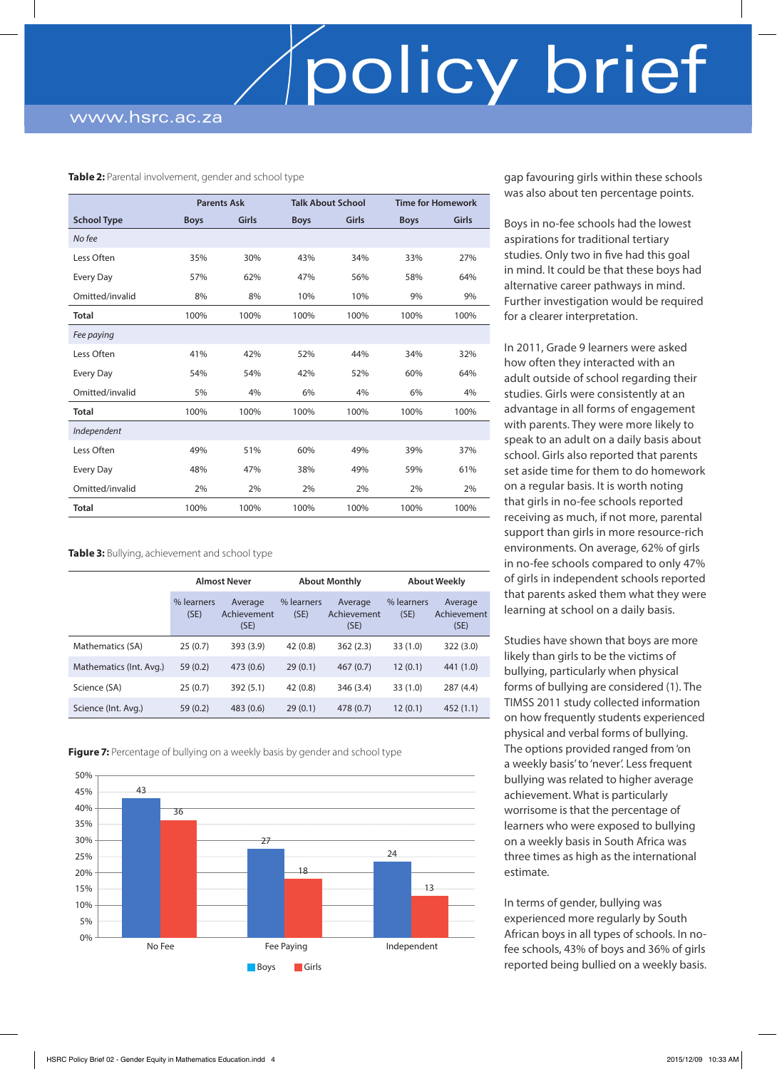#### **Table 2:** Parental involvement, gender and school type

|                    | <b>Parents Ask</b> |       | <b>Talk About School</b> |       | <b>Time for Homework</b> |       |
|--------------------|--------------------|-------|--------------------------|-------|--------------------------|-------|
| <b>School Type</b> | <b>Boys</b>        | Girls | <b>Boys</b>              | Girls | <b>Boys</b>              | Girls |
| No fee             |                    |       |                          |       |                          |       |
| Less Often         | 35%                | 30%   | 43%                      | 34%   | 33%                      | 27%   |
| Every Day          | 57%                | 62%   | 47%                      | 56%   | 58%                      | 64%   |
| Omitted/invalid    | 8%                 | 8%    | 10%                      | 10%   | 9%                       | 9%    |
| <b>Total</b>       | 100%               | 100%  | 100%                     | 100%  | 100%                     | 100%  |
| Fee paying         |                    |       |                          |       |                          |       |
| Less Often         | 41%                | 42%   | 52%                      | 44%   | 34%                      | 32%   |
| Every Day          | 54%                | 54%   | 42%                      | 52%   | 60%                      | 64%   |
| Omitted/invalid    | 5%                 | 4%    | 6%                       | 4%    | 6%                       | 4%    |
| <b>Total</b>       | 100%               | 100%  | 100%                     | 100%  | 100%                     | 100%  |
| Independent        |                    |       |                          |       |                          |       |
| Less Often         | 49%                | 51%   | 60%                      | 49%   | 39%                      | 37%   |
| Every Day          | 48%                | 47%   | 38%                      | 49%   | 59%                      | 61%   |
| Omitted/invalid    | 2%                 | 2%    | 2%                       | 2%    | 2%                       | 2%    |
| <b>Total</b>       | 100%               | 100%  | 100%                     | 100%  | 100%                     | 100%  |

#### **Table 3:** Bullying, achievement and school type

|                         | <b>Almost Never</b> |                                | <b>About Monthly</b> |                                | <b>About Weekly</b> |                                |
|-------------------------|---------------------|--------------------------------|----------------------|--------------------------------|---------------------|--------------------------------|
|                         | % learners<br>(SE)  | Average<br>Achievement<br>(SE) | % learners<br>(SE)   | Average<br>Achievement<br>(SE) | % learners<br>(SE)  | Average<br>Achievement<br>(SE) |
| Mathematics (SA)        | 25(0.7)             | 393 (3.9)                      | 42(0.8)              | 362(2.3)                       | 33(1.0)             | 322(3.0)                       |
| Mathematics (Int. Avg.) | 59(0.2)             | 473 (0.6)                      | 29(0.1)              | 467(0.7)                       | 12(0.1)             | 441 (1.0)                      |
| Science (SA)            | 25(0.7)             | 392(5.1)                       | 42(0.8)              | 346 (3.4)                      | 33(1.0)             | 287(4.4)                       |
| Science (Int. Avg.)     | 59(0.2)             | 483(0.6)                       | 29(0.1)              | 478 (0.7)                      | 12(0.1)             | 452(1.1)                       |

**Figure 7:** Percentage of bullying on a weekly basis by gender and school type



gap favouring girls within these schools was also about ten percentage points.

Boys in no-fee schools had the lowest aspirations for traditional tertiary studies. Only two in five had this goal in mind. It could be that these boys had alternative career pathways in mind. Further investigation would be required for a clearer interpretation.

In 2011, Grade 9 learners were asked how often they interacted with an adult outside of school regarding their studies. Girls were consistently at an advantage in all forms of engagement with parents. They were more likely to speak to an adult on a daily basis about school. Girls also reported that parents set aside time for them to do homework on a regular basis. It is worth noting that girls in no-fee schools reported receiving as much, if not more, parental support than girls in more resource-rich environments. On average, 62% of girls in no-fee schools compared to only 47% of girls in independent schools reported that parents asked them what they were learning at school on a daily basis.

Studies have shown that boys are more likely than girls to be the victims of bullying, particularly when physical forms of bullying are considered (1). The TIMSS 2011 study collected information on how frequently students experienced physical and verbal forms of bullying. The options provided ranged from 'on a weekly basis' to 'never'. Less frequent bullying was related to higher average achievement. What is particularly worrisome is that the percentage of learners who were exposed to bullying on a weekly basis in South Africa was three times as high as the international estimate.

In terms of gender, bullying was experienced more regularly by South African boys in all types of schools. In nofee schools, 43% of boys and 36% of girls reported being bullied on a weekly basis.